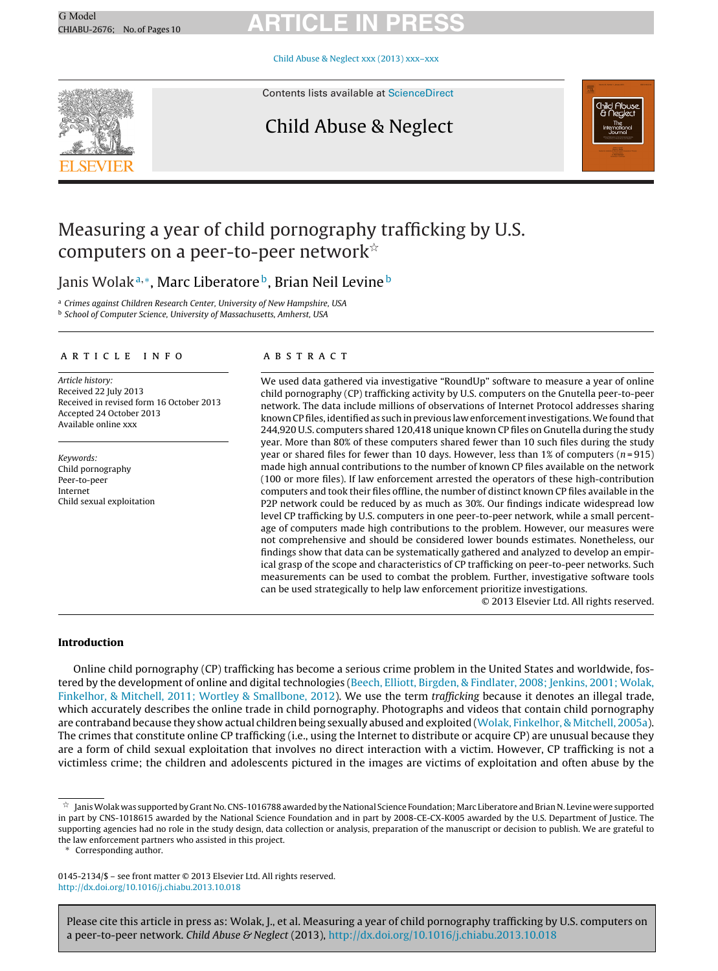#### Child Abuse & Neglect xxx (2013) [xxx–xxx](dx.doi.org/10.1016/j.chiabu.2013.10.018)



Contents lists available at [ScienceDirect](http://www.sciencedirect.com/science/journal/01452134)

# Child Abuse & Neglect



# Measuring a year of child pornography trafficking by U.S. computers on a peer-to-peer network $\mathbb{\check{r}}$

Janis Wolak<sup>a,∗</sup>, Marc Liberatore<sup>b</sup>, Brian Neil Levine<sup>b</sup>

a Crimes against Children Research Center, University of New Hampshire, USA

b School of Computer Science, University of Massachusetts, Amherst, USA

#### a r t i c l e i n f o

Article history: Received 22 July 2013 Received in revised form 16 October 2013 Accepted 24 October 2013 Available online xxx

Keywords: Child pornography Peer-to-peer Internet Child sexual exploitation

#### A B S T R A C T

We used data gathered via investigative "RoundUp" software to measure a year of online child pornography (CP) trafficking activity by U.S. computers on the Gnutella peer-to-peer network. The data include millions of observations of Internet Protocol addresses sharing known CP files, identified as such in previous law enforcement investigations. We found that 244,920 U.S. computers shared 120,418 unique known CP files on Gnutella during the study year. More than 80% of these computers shared fewer than 10 such files during the study year or shared files for fewer than 10 days. However, less than 1% of computers ( $n = 915$ ) made high annual contributions to the number of known CP files available on the network (100 or more files). If law enforcement arrested the operators of these high-contribution computers and took their files offline, the number of distinct known CP files available in the P2P network could be reduced by as much as 30%. Our findings indicate widespread low level CP trafficking by U.S. computers in one peer-to-peer network, while a small percentage of computers made high contributions to the problem. However, our measures were not comprehensive and should be considered lower bounds estimates. Nonetheless, our findings show that data can be systematically gathered and analyzed to develop an empirical grasp of the scope and characteristics of CP trafficking on peer-to-peer networks. Such measurements can be used to combat the problem. Further, investigative software tools can be used strategically to help law enforcement prioritize investigations.

© 2013 Elsevier Ltd. All rights reserved.

#### **Introduction**

Online child pornography (CP) trafficking has become a serious crime problem in the United States and worldwide, fostered by the development of online and digital technologies [\(Beech,](#page-8-0) [Elliott,](#page-8-0) [Birgden,](#page-8-0) [&](#page-8-0) [Findlater,](#page-8-0) [2008;](#page-8-0) [Jenkins,](#page-8-0) [2001;](#page-8-0) [Wolak,](#page-8-0) [Finkelhor,](#page-8-0) [&](#page-8-0) [Mitchell,](#page-8-0) [2011;](#page-8-0) [Wortley](#page-8-0) [&](#page-8-0) [Smallbone,](#page-8-0) [2012\).](#page-8-0) We use the term trafficking because it denotes an illegal trade, which accurately describes the online trade in child pornography. Photographs and videos that contain child pornography are contraband because they show actual children being sexually abused and exploited ([Wolak,](#page-9-0) [Finkelhor,](#page-9-0) [&](#page-9-0) [Mitchell,](#page-9-0) [2005a\).](#page-9-0) The crimes that constitute online CP trafficking (i.e., using the Internet to distribute or acquire CP) are unusual because they are a form of child sexual exploitation that involves no direct interaction with a victim. However, CP trafficking is not a victimless crime; the children and adolescents pictured in the images are victims of exploitation and often abuse by the

∗ Corresponding author.

 $^\star$  Janis Wolak was supported by Grant No. CNS-1016788 awarded by the National Science Foundation; Marc Liberatore and Brian N. Levine were supported in part by CNS-1018615 awarded by the National Science Foundation and in part by 2008-CE-CX-K005 awarded by the U.S. Department of Justice. The supporting agencies had no role in the study design, data collection or analysis, preparation of the manuscript or decision to publish. We are grateful to the law enforcement partners who assisted in this project.

<sup>0145-2134/\$</sup> – see front matter © 2013 Elsevier Ltd. All rights reserved. [http://dx.doi.org/10.1016/j.chiabu.2013.10.018](dx.doi.org/10.1016/j.chiabu.2013.10.018)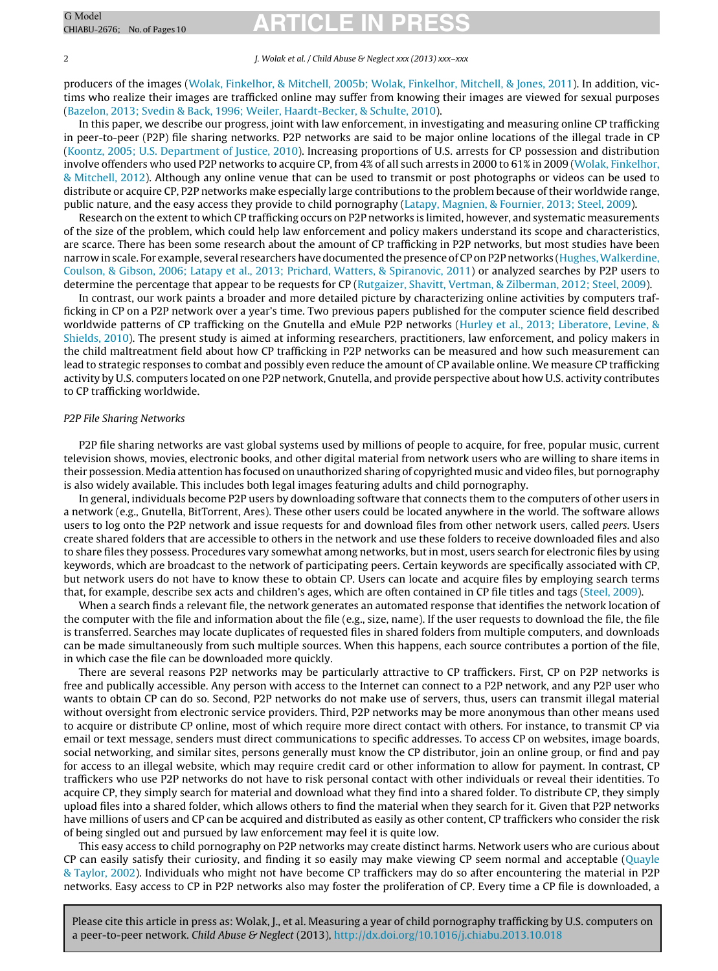#### 2 J. Wolak et al. / Child Abuse & Neglect xxx (2013) xxx–xxx

producers of the images [\(Wolak,](#page-9-0) [Finkelhor,](#page-9-0) [&](#page-9-0) [Mitchell,](#page-9-0) [2005b;](#page-9-0) [Wolak,](#page-9-0) [Finkelhor,](#page-9-0) [Mitchell,](#page-9-0) [&](#page-9-0) [Jones,](#page-9-0) [2011\).](#page-9-0) In addition, victims who realize their images are trafficked online may suffer from knowing their images are viewed for sexual purposes [\(Bazelon,](#page-8-0) [2013;](#page-8-0) [Svedin](#page-8-0) [&](#page-8-0) [Back,](#page-8-0) [1996;](#page-8-0) [Weiler,](#page-8-0) [Haardt-Becker,](#page-8-0) [&](#page-8-0) [Schulte,](#page-8-0) [2010\).](#page-8-0)

In this paper, we describe our progress, joint with law enforcement, in investigating and measuring online CP trafficking in peer-to-peer (P2P) file sharing networks. P2P networks are said to be major online locations of the illegal trade in CP [\(Koontz,](#page-8-0) [2005;](#page-8-0) [U.S.](#page-8-0) [Department](#page-8-0) [of](#page-8-0) [Justice,](#page-8-0) [2010\).](#page-8-0) Increasing proportions of U.S. arrests for CP possession and distribution involve offenders who used P2P networks to acquire CP, from 4% of all such arrests in 2000 to 61% in 2009 ([Wolak,](#page-9-0) [Finkelhor,](#page-9-0) [&](#page-9-0) [Mitchell,](#page-9-0) [2012\).](#page-9-0) Although any online venue that can be used to transmit or post photographs or videos can be used to distribute or acquire CP, P2P networks make especially large contributions to the problem because of their worldwide range, public nature, and the easy access they provide to child pornography ([Latapy,](#page-8-0) [Magnien,](#page-8-0) [&](#page-8-0) [Fournier,](#page-8-0) [2013;](#page-8-0) [Steel,](#page-8-0) [2009\).](#page-8-0)

Research on the extent to which CP trafficking occurs on P2P networks is limited, however, and systematic measurements of the size of the problem, which could help law enforcement and policy makers understand its scope and characteristics, are scarce. There has been some research about the amount of CP trafficking in P2P networks, but most studies have been narrow in scale. For example, several researchers have documented the presence of CP on P2P networks (Hughes, Walkerdine, [Coulson,](#page-8-0) [&](#page-8-0) [Gibson,](#page-8-0) [2006;](#page-8-0) [Latapy](#page-8-0) et [al.,](#page-8-0) [2013;](#page-8-0) [Prichard,](#page-8-0) [Watters,](#page-8-0) [&](#page-8-0) [Spiranovic,](#page-8-0) [2011\)](#page-8-0) or analyzed searches by P2P users to determine the percentage that appear to be requests for CP [\(Rutgaizer,](#page-8-0) [Shavitt,](#page-8-0) [Vertman,](#page-8-0) [&](#page-8-0) [Zilberman,](#page-8-0) [2012;](#page-8-0) [Steel,](#page-8-0) [2009\).](#page-8-0)

In contrast, our work paints a broader and more detailed picture by characterizing online activities by computers trafficking in CP on a P2P network over a year's time. Two previous papers published for the computer science field described worldwide patterns of CP trafficking on the Gnutella and eMule P2P networks ([Hurley](#page-8-0) et [al.,](#page-8-0) [2013;](#page-8-0) [Liberatore,](#page-8-0) [Levine,](#page-8-0) [&](#page-8-0) [Shields,](#page-8-0) [2010\).](#page-8-0) The present study is aimed at informing researchers, practitioners, law enforcement, and policy makers in the child maltreatment field about how CP trafficking in P2P networks can be measured and how such measurement can lead to strategic responses to combat and possibly even reduce the amount of CP available online. We measure CP trafficking activity by U.S. computers located on one P2P network, Gnutella, and provide perspective about how U.S. activity contributes to CP trafficking worldwide.

### P2P File Sharing Networks

P2P file sharing networks are vast global systems used by millions of people to acquire, for free, popular music, current television shows, movies, electronic books, and other digital material from network users who are willing to share items in their possession. Media attention has focused on unauthorized sharing of copyrighted music and video files, but pornography is also widely available. This includes both legal images featuring adults and child pornography.

In general, individuals become P2P users by downloading software that connects them to the computers of other users in a network (e.g., Gnutella, BitTorrent, Ares). These other users could be located anywhere in the world. The software allows users to log onto the P2P network and issue requests for and download files from other network users, called peers. Users create shared folders that are accessible to others in the network and use these folders to receive downloaded files and also to share files they possess. Procedures vary somewhat among networks, but in most, users search for electronic files by using keywords, which are broadcast to the network of participating peers. Certain keywords are specifically associated with CP, but network users do not have to know these to obtain CP. Users can locate and acquire files by employing search terms that, for example, describe sex acts and children's ages, which are often contained in CP file titles and tags [\(Steel,](#page-9-0) [2009\).](#page-9-0)

When a search finds a relevant file, the network generates an automated response that identifies the network location of the computer with the file and information about the file (e.g., size, name). If the user requests to download the file, the file is transferred. Searches may locate duplicates of requested files in shared folders from multiple computers, and downloads can be made simultaneously from such multiple sources. When this happens, each source contributes a portion of the file, in which case the file can be downloaded more quickly.

There are several reasons P2P networks may be particularly attractive to CP traffickers. First, CP on P2P networks is free and publically accessible. Any person with access to the Internet can connect to a P2P network, and any P2P user who wants to obtain CP can do so. Second, P2P networks do not make use of servers, thus, users can transmit illegal material without oversight from electronic service providers. Third, P2P networks may be more anonymous than other means used to acquire or distribute CP online, most of which require more direct contact with others. For instance, to transmit CP via email or text message, senders must direct communications to specific addresses. To access CP on websites, image boards, social networking, and similar sites, persons generally must know the CP distributor, join an online group, or find and pay for access to an illegal website, which may require credit card or other information to allow for payment. In contrast, CP traffickers who use P2P networks do not have to risk personal contact with other individuals or reveal their identities. To acquire CP, they simply search for material and download what they find into a shared folder. To distribute CP, they simply upload files into a shared folder, which allows others to find the material when they search for it. Given that P2P networks have millions of users and CP can be acquired and distributed as easily as other content, CP traffickers who consider the risk of being singled out and pursued by law enforcement may feel it is quite low.

This easy access to child pornography on P2P networks may create distinct harms. Network users who are curious about CP can easily satisfy their curiosity, and finding it so easily may make viewing CP seem normal and acceptable ([Quayle](#page-8-0) [&](#page-8-0) [Taylor,](#page-8-0) [2002\).](#page-8-0) Individuals who might not have become CP traffickers may do so after encountering the material in P2P networks. Easy access to CP in P2P networks also may foster the proliferation of CP. Every time a CP file is downloaded, a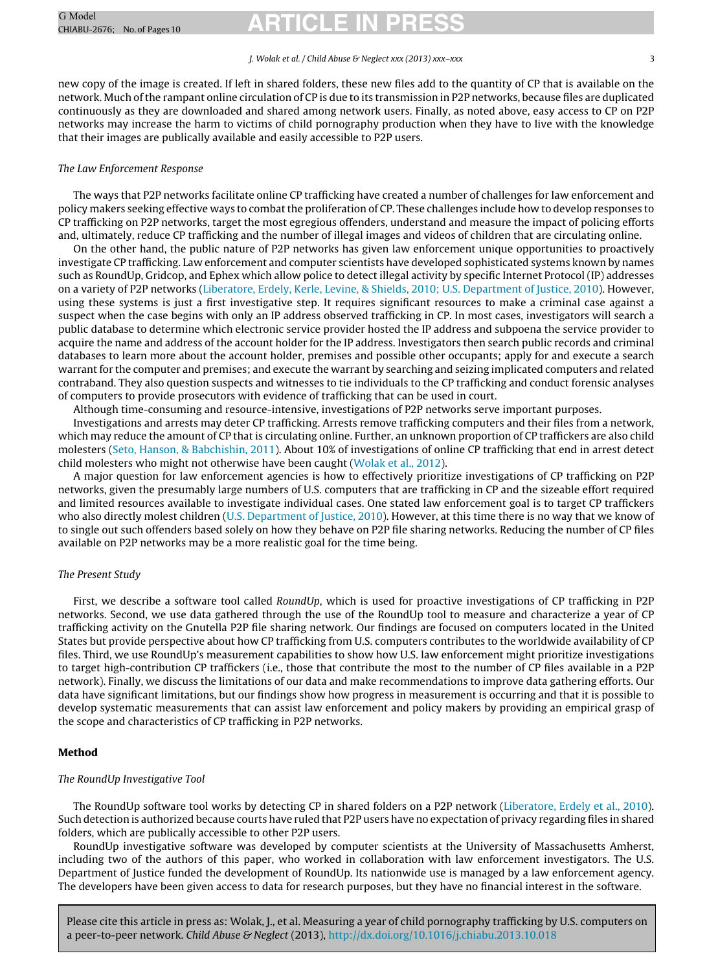### J. Wolak et al. / Child Abuse & Neglect xxx (2013) xxx–xxx 3

new copy of the image is created. If left in shared folders, these new files add to the quantity of CP that is available on the network. Much ofthe rampant online circulation of CP is due to its transmission in P2P networks, because files are duplicated continuously as they are downloaded and shared among network users. Finally, as noted above, easy access to CP on P2P networks may increase the harm to victims of child pornography production when they have to live with the knowledge that their images are publically available and easily accessible to P2P users.

## The Law Enforcement Response

The ways that P2P networks facilitate online CP trafficking have created a number of challenges for law enforcement and policy makers seeking effective ways to combatthe proliferation of CP. These challenges include how to develop responses to CP trafficking on P2P networks, target the most egregious offenders, understand and measure the impact of policing efforts and, ultimately, reduce CP trafficking and the number of illegal images and videos of children that are circulating online.

On the other hand, the public nature of P2P networks has given law enforcement unique opportunities to proactively investigate CP trafficking. Law enforcement and computer scientists have developed sophisticated systems known by names such as RoundUp, Gridcop, and Ephex which allow police to detect illegal activity by specific Internet Protocol (IP) addresses on a variety of P2P networks [\(Liberatore,](#page-8-0) [Erdely,](#page-8-0) [Kerle,](#page-8-0) [Levine,](#page-8-0) [&](#page-8-0) [Shields,](#page-8-0) [2010;](#page-8-0) [U.S.](#page-8-0) [Department](#page-8-0) [of](#page-8-0) [Justice,](#page-8-0) [2010\).](#page-8-0) However, using these systems is just a first investigative step. It requires significant resources to make a criminal case against a suspect when the case begins with only an IP address observed trafficking in CP. In most cases, investigators will search a public database to determine which electronic service provider hosted the IP address and subpoena the service provider to acquire the name and address of the account holder for the IP address. Investigators then search public records and criminal databases to learn more about the account holder, premises and possible other occupants; apply for and execute a search warrant for the computer and premises; and execute the warrant by searching and seizing implicated computers and related contraband. They also question suspects and witnesses to tie individuals to the CP trafficking and conduct forensic analyses of computers to provide prosecutors with evidence of trafficking that can be used in court.

Although time-consuming and resource-intensive, investigations of P2P networks serve important purposes.

Investigations and arrests may deter CP trafficking. Arrests remove trafficking computers and their files from a network, which may reduce the amount of CP that is circulating online. Further, an unknown proportion of CP traffickers are also child molesters ([Seto,](#page-9-0) [Hanson,](#page-9-0) [&](#page-9-0) [Babchishin,](#page-9-0) [2011\).](#page-9-0) About 10% of investigations of online CP trafficking that end in arrest detect child molesters who might not otherwise have been caught [\(Wolak](#page-9-0) et [al.,](#page-9-0) [2012\).](#page-9-0)

A major question for law enforcement agencies is how to effectively prioritize investigations of CP trafficking on P2P networks, given the presumably large numbers of U.S. computers that are trafficking in CP and the sizeable effort required and limited resources available to investigate individual cases. One stated law enforcement goal is to target CP traffickers who also directly molest children ([U.S.](#page-9-0) [Department](#page-9-0) [of](#page-9-0) [Justice,](#page-9-0) [2010\).](#page-9-0) However, at this time there is no way that we know of to single out such offenders based solely on how they behave on P2P file sharing networks. Reducing the number of CP files available on P2P networks may be a more realistic goal for the time being.

## The Present Study

First, we describe a software tool called RoundUp, which is used for proactive investigations of CP trafficking in P2P networks. Second, we use data gathered through the use of the RoundUp tool to measure and characterize a year of CP trafficking activity on the Gnutella P2P file sharing network. Our findings are focused on computers located in the United States but provide perspective about how CP trafficking from U.S. computers contributes to the worldwide availability of CP files. Third, we use RoundUp's measurement capabilities to show how U.S. law enforcement might prioritize investigations to target high-contribution CP traffickers (i.e., those that contribute the most to the number of CP files available in a P2P network). Finally, we discuss the limitations of our data and make recommendations to improve data gathering efforts. Our data have significant limitations, but our findings show how progress in measurement is occurring and that it is possible to develop systematic measurements that can assist law enforcement and policy makers by providing an empirical grasp of the scope and characteristics of CP trafficking in P2P networks.

## **Method**

## The RoundUp Investigative Tool

The RoundUp software tool works by detecting CP in shared folders on a P2P network ([Liberatore,](#page-8-0) [Erdely](#page-8-0) et [al.,](#page-8-0) [2010\).](#page-8-0) Such detection is authorized because courts have ruled that P2P users have no expectation of privacy regarding files in shared folders, which are publically accessible to other P2P users.

RoundUp investigative software was developed by computer scientists at the University of Massachusetts Amherst, including two of the authors of this paper, who worked in collaboration with law enforcement investigators. The U.S. Department of Justice funded the development of RoundUp. Its nationwide use is managed by a law enforcement agency. The developers have been given access to data for research purposes, but they have no financial interest in the software.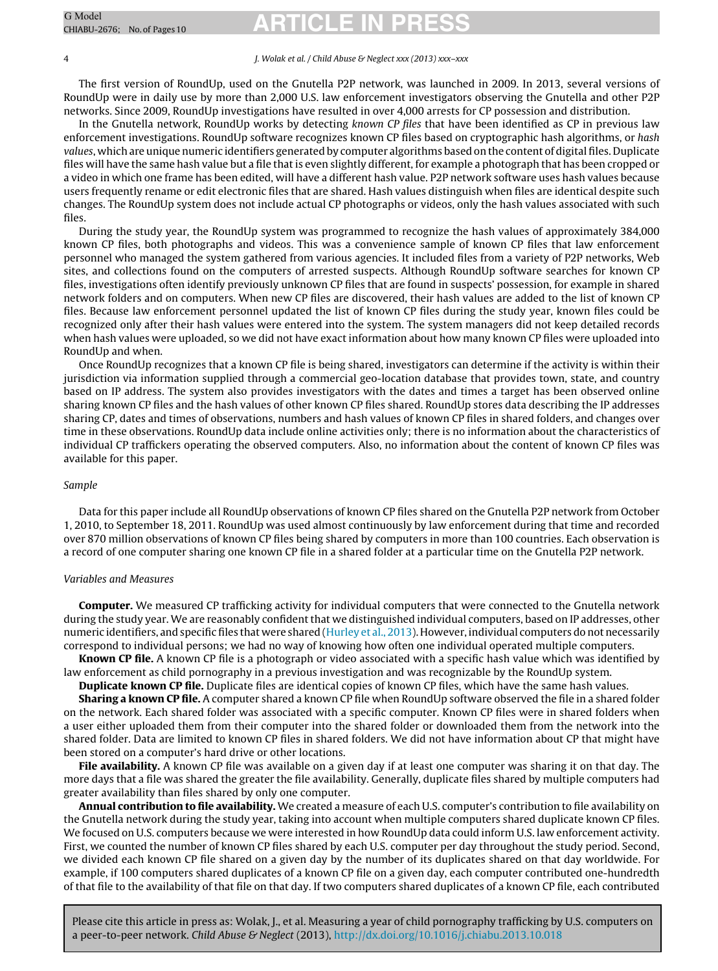#### 4 J. Wolak et al. / Child Abuse & Neglect xxx (2013) xxx–xxx

The first version of RoundUp, used on the Gnutella P2P network, was launched in 2009. In 2013, several versions of RoundUp were in daily use by more than 2,000 U.S. law enforcement investigators observing the Gnutella and other P2P networks. Since 2009, RoundUp investigations have resulted in over 4,000 arrests for CP possession and distribution.

In the Gnutella network, RoundUp works by detecting known CP files that have been identified as CP in previous law enforcement investigations. RoundUp software recognizes known CP files based on cryptographic hash algorithms, or hash values, which are unique numeric identifiers generated by computer algorithms based on the content of digital files. Duplicate files will have the same hash value but a file that is even slightly different, for example a photograph that has been cropped or a video in which one frame has been edited, will have a different hash value. P2P network software uses hash values because users frequently rename or edit electronic files that are shared. Hash values distinguish when files are identical despite such changes. The RoundUp system does not include actual CP photographs or videos, only the hash values associated with such files.

During the study year, the RoundUp system was programmed to recognize the hash values of approximately 384,000 known CP files, both photographs and videos. This was a convenience sample of known CP files that law enforcement personnel who managed the system gathered from various agencies. It included files from a variety of P2P networks, Web sites, and collections found on the computers of arrested suspects. Although RoundUp software searches for known CP files, investigations often identify previously unknown CP files that are found in suspects' possession, for example in shared network folders and on computers. When new CP files are discovered, their hash values are added to the list of known CP files. Because law enforcement personnel updated the list of known CP files during the study year, known files could be recognized only after their hash values were entered into the system. The system managers did not keep detailed records when hash values were uploaded, so we did not have exact information about how many known CP files were uploaded into RoundUp and when.

Once RoundUp recognizes that a known CP file is being shared, investigators can determine if the activity is within their jurisdiction via information supplied through a commercial geo-location database that provides town, state, and country based on IP address. The system also provides investigators with the dates and times a target has been observed online sharing known CP files and the hash values of other known CP files shared. RoundUp stores data describing the IP addresses sharing CP, dates and times of observations, numbers and hash values of known CP files in shared folders, and changes over time in these observations. RoundUp data include online activities only; there is no information about the characteristics of individual CP traffickers operating the observed computers. Also, no information about the content of known CP files was available for this paper.

#### Sample

Data for this paper include all RoundUp observations of known CP files shared on the Gnutella P2P network from October 1, 2010, to September 18, 2011. RoundUp was used almost continuously by law enforcement during that time and recorded over 870 million observations of known CP files being shared by computers in more than 100 countries. Each observation is a record of one computer sharing one known CP file in a shared folder at a particular time on the Gnutella P2P network.

### Variables and Measures

**Computer.** We measured CP trafficking activity for individual computers that were connected to the Gnutella network during the study year. We are reasonably confident that we distinguished individual computers, based on IP addresses, other numeric identifiers, and specific files that were shared ([Hurley](#page-8-0) et [al.,](#page-8-0) [2013\).](#page-8-0) However, individual computers do not necessarily correspond to individual persons; we had no way of knowing how often one individual operated multiple computers.

**Known CP file.** A known CP file is a photograph or video associated with a specific hash value which was identified by law enforcement as child pornography in a previous investigation and was recognizable by the RoundUp system.

**Duplicate known CP file.** Duplicate files are identical copies of known CP files, which have the same hash values.

**Sharing a known CP file.** A computer shared a known CP file when RoundUp software observed the file in a shared folder on the network. Each shared folder was associated with a specific computer. Known CP files were in shared folders when a user either uploaded them from their computer into the shared folder or downloaded them from the network into the shared folder. Data are limited to known CP files in shared folders. We did not have information about CP that might have been stored on a computer's hard drive or other locations.

**File availability.** A known CP file was available on a given day if at least one computer was sharing it on that day. The more days that a file was shared the greater the file availability. Generally, duplicate files shared by multiple computers had greater availability than files shared by only one computer.

**Annual contribution to file availability.** We created a measure of each U.S. computer's contribution to file availability on the Gnutella network during the study year, taking into account when multiple computers shared duplicate known CP files. We focused on U.S. computers because we were interested in how RoundUp data could inform U.S. law enforcement activity. First, we counted the number of known CP files shared by each U.S. computer per day throughout the study period. Second, we divided each known CP file shared on a given day by the number of its duplicates shared on that day worldwide. For example, if 100 computers shared duplicates of a known CP file on a given day, each computer contributed one-hundredth of that file to the availability of that file on that day. If two computers shared duplicates of a known CP file, each contributed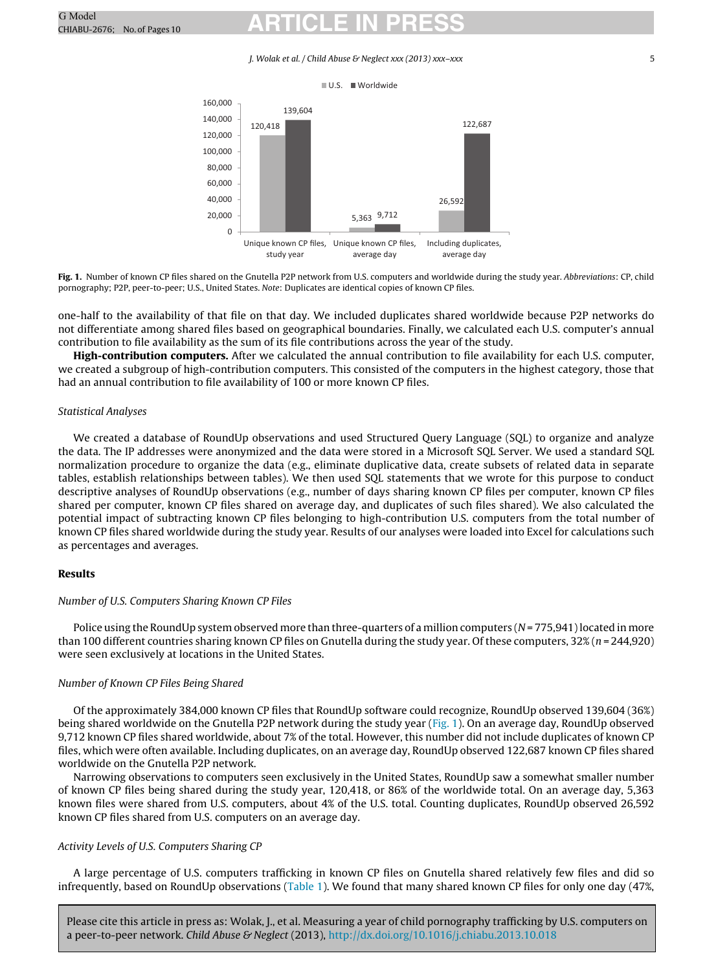### J. Wolak et al. / Child Abuse & Neglect xxx (2013) xxx–xxx 5



#### U.S. Worldwide

**Fig. 1.** Number of known CP files shared on the Gnutella P2P network from U.S. computers and worldwide during the study year. Abbreviations: CP, child pornography; P2P, peer-to-peer; U.S., United States. Note: Duplicates are identical copies of known CP files.

one-half to the availability of that file on that day. We included duplicates shared worldwide because P2P networks do not differentiate among shared files based on geographical boundaries. Finally, we calculated each U.S. computer's annual contribution to file availability as the sum of its file contributions across the year of the study.

**High-contribution computers.** After we calculated the annual contribution to file availability for each U.S. computer, we created a subgroup of high-contribution computers. This consisted of the computers in the highest category, those that had an annual contribution to file availability of 100 or more known CP files.

#### Statistical Analyses

We created a database of RoundUp observations and used Structured Query Language (SQL) to organize and analyze the data. The IP addresses were anonymized and the data were stored in a Microsoft SQL Server. We used a standard SQL normalization procedure to organize the data (e.g., eliminate duplicative data, create subsets of related data in separate tables, establish relationships between tables). We then used SQL statements that we wrote for this purpose to conduct descriptive analyses of RoundUp observations (e.g., number of days sharing known CP files per computer, known CP files shared per computer, known CP files shared on average day, and duplicates of such files shared). We also calculated the potential impact of subtracting known CP files belonging to high-contribution U.S. computers from the total number of known CP files shared worldwide during the study year. Results of our analyses were loaded into Excel for calculations such as percentages and averages.

#### **Results**

#### Number of U.S. Computers Sharing Known CP Files

Police using the RoundUp system observed more than three-quarters of a million computers ( $N = 775,941$ ) located in more than 100 different countries sharing known CP files on Gnutella during the study year. Of these computers,  $32\%$  ( $n = 244,920$ ) were seen exclusively at locations in the United States.

#### Number of Known CP Files Being Shared

Of the approximately 384,000 known CP files that RoundUp software could recognize, RoundUp observed 139,604 (36%) being shared worldwide on the Gnutella P2P network during the study year (Fig. 1). On an average day, RoundUp observed 9,712 known CP files shared worldwide, about 7% of the total. However, this number did not include duplicates of known CP files, which were often available. Including duplicates, on an average day, RoundUp observed 122,687 known CP files shared worldwide on the Gnutella P2P network.

Narrowing observations to computers seen exclusively in the United States, RoundUp saw a somewhat smaller number of known CP files being shared during the study year, 120,418, or 86% of the worldwide total. On an average day, 5,363 known files were shared from U.S. computers, about 4% of the U.S. total. Counting duplicates, RoundUp observed 26,592 known CP files shared from U.S. computers on an average day.

### Activity Levels of U.S. Computers Sharing CP

A large percentage of U.S. computers trafficking in known CP files on Gnutella shared relatively few files and did so infrequently, based on RoundUp observations ([Table](#page-5-0) 1). We found that many shared known CP files for only one day (47%,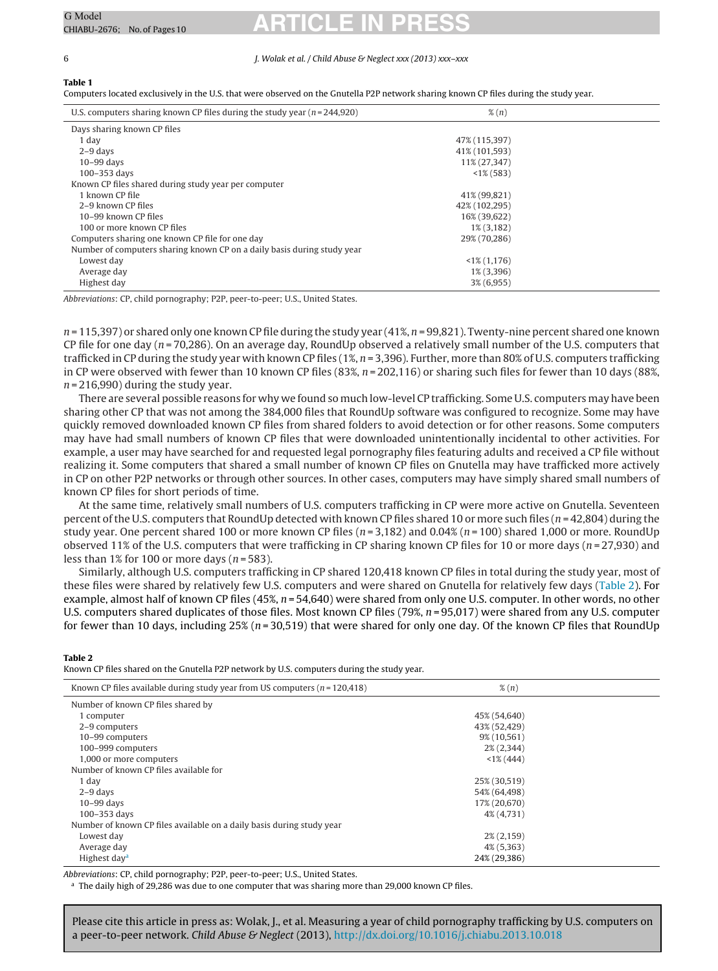#### 6 J. Wolak et al. / Child Abuse & Neglect xxx (2013) xxx–xxx

<span id="page-5-0"></span>

**Table 1**

Computers located exclusively in the U.S. that were observed on the Gnutella P2P network sharing known CP files during the study year.

| U.S. computers sharing known CP files during the study year ( $n = 244,920$ ) | $\mathcal{K}(n)$ |  |
|-------------------------------------------------------------------------------|------------------|--|
| Days sharing known CP files                                                   |                  |  |
| 1 day                                                                         | 47% (115,397)    |  |
| $2-9$ days                                                                    | 41% (101,593)    |  |
| $10-99$ days                                                                  | 11% (27,347)     |  |
| $100-353$ days                                                                | $<1\%$ (583)     |  |
| Known CP files shared during study year per computer                          |                  |  |
| 1 known CP file                                                               | 41% (99,821)     |  |
| 2–9 known CP files                                                            | 42% (102,295)    |  |
| 10–99 known CP files                                                          | 16% (39,622)     |  |
| 100 or more known CP files                                                    | $1\%$ (3,182)    |  |
| Computers sharing one known CP file for one day                               | 29% (70,286)     |  |
| Number of computers sharing known CP on a daily basis during study year       |                  |  |
| Lowest day                                                                    | $<1\%$ (1,176)   |  |
| Average day                                                                   | $1\%$ (3,396)    |  |
| Highest day                                                                   | $3\%$ (6,955)    |  |

Abbreviations: CP, child pornography; P2P, peer-to-peer; U.S., United States.

 $n = 115,397$  or shared only one known CP file during the study year  $(41\%, n = 99,821)$ . Twenty-nine percent shared one known CP file for one day ( $n = 70,286$ ). On an average day, RoundUp observed a relatively small number of the U.S. computers that trafficked in CP during the study year with known CP files  $(1\%, n=3,396)$ . Further, more than 80% of U.S. computers trafficking in CP were observed with fewer than 10 known CP files  $(83\%, n=202,116)$  or sharing such files for fewer than 10 days  $(88\%,$  $n = 216,990$ ) during the study year.

There are several possible reasons for why we found so much low-level CP trafficking. Some U.S. computers may have been sharing other CP that was not among the 384,000 files that RoundUp software was configured to recognize. Some may have quickly removed downloaded known CP files from shared folders to avoid detection or for other reasons. Some computers may have had small numbers of known CP files that were downloaded unintentionally incidental to other activities. For example, a user may have searched for and requested legal pornography files featuring adults and received a CP file without realizing it. Some computers that shared a small number of known CP files on Gnutella may have trafficked more actively in CP on other P2P networks or through other sources. In other cases, computers may have simply shared small numbers of known CP files for short periods of time.

At the same time, relatively small numbers of U.S. computers trafficking in CP were more active on Gnutella. Seventeen percent of the U.S. computers that RoundUp detected with known CP files shared 10 or more such files ( $n = 42,804$ ) during the study year. One percent shared 100 or more known CP files  $(n=3,182)$  and 0.04%  $(n=100)$  shared 1,000 or more. RoundUp observed 11% of the U.S. computers that were trafficking in CP sharing known CP files for 10 or more days ( $n = 27,930$ ) and less than 1% for 100 or more days ( $n = 583$ ).

Similarly, although U.S. computers trafficking in CP shared 120,418 known CP files in total during the study year, most of these files were shared by relatively few U.S. computers and were shared on Gnutella for relatively few days (Table 2). For example, almost half of known CP files  $(45\%, n=54,640)$  were shared from only one U.S. computer. In other words, no other U.S. computers shared duplicates of those files. Most known CP files  $(79%, n = 95,017)$  were shared from any U.S. computer for fewer than 10 days, including  $25\%$  ( $n = 30,519$ ) that were shared for only one day. Of the known CP files that RoundUp

#### **Table 2**

Known CP files shared on the Gnutella P2P network by U.S. computers during the study year.

| Known CP files available during study year from US computers ( $n = 120,418$ ) | $\mathcal{K}(n)$ |  |
|--------------------------------------------------------------------------------|------------------|--|
| Number of known CP files shared by                                             |                  |  |
| 1 computer                                                                     | 45% (54,640)     |  |
| 2-9 computers                                                                  | 43% (52,429)     |  |
| 10-99 computers                                                                | $9\%$ (10,561)   |  |
| 100-999 computers                                                              | $2\%$ (2,344)    |  |
| 1,000 or more computers                                                        | $<1\%$ (444)     |  |
| Number of known CP files available for                                         |                  |  |
| 1 day                                                                          | 25% (30,519)     |  |
| $2-9$ days                                                                     | 54% (64,498)     |  |
| $10-99$ days                                                                   | 17% (20,670)     |  |
| $100-353$ days                                                                 | $4\%$ (4,731)    |  |
| Number of known CP files available on a daily basis during study year          |                  |  |
| Lowest day                                                                     | $2\%$ (2,159)    |  |
| Average day                                                                    | $4\%$ (5,363)    |  |
| Highest day <sup>a</sup>                                                       | 24% (29,386)     |  |

Abbreviations: CP, child pornography; P2P, peer-to-peer; U.S., United States.

<sup>a</sup> The daily high of 29,286 was due to one computer that was sharing more than 29,000 known CP files.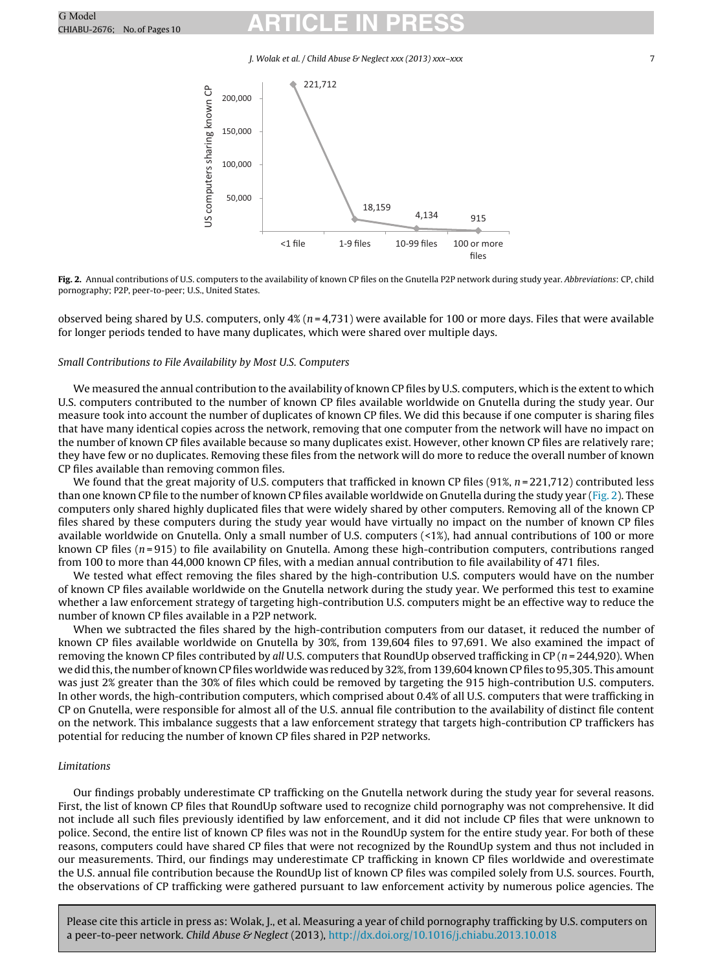#### J. Wolak et al. / Child Abuse & Neglect xxx (2013) xxx–xxx 7



**Fig. 2.** Annual contributions of U.S. computers to the availability of known CP files on the Gnutella P2P network during study year. Abbreviations: CP, child pornography; P2P, peer-to-peer; U.S., United States.

observed being shared by U.S. computers, only  $4\frac{\pi}{4}$ ,  $(n=4,731)$  were available for 100 or more days. Files that were available for longer periods tended to have many duplicates, which were shared over multiple days.

#### Small Contributions to File Availability by Most U.S. Computers

We measured the annual contribution to the availability of known CP files by U.S. computers, which is the extent to which U.S. computers contributed to the number of known CP files available worldwide on Gnutella during the study year. Our measure took into account the number of duplicates of known CP files. We did this because if one computer is sharing files that have many identical copies across the network, removing that one computer from the network will have no impact on the number of known CP files available because so many duplicates exist. However, other known CP files are relatively rare; they have few or no duplicates. Removing these files from the network will do more to reduce the overall number of known CP files available than removing common files.

We found that the great majority of U.S. computers that trafficked in known CP files (91%,  $n = 221,712$ ) contributed less than one known CP file to the number of known CP files available worldwide on Gnutella during the study year (Fig. 2). These computers only shared highly duplicated files that were widely shared by other computers. Removing all of the known CP files shared by these computers during the study year would have virtually no impact on the number of known CP files available worldwide on Gnutella. Only a small number of U.S. computers (<1%), had annual contributions of 100 or more known CP files ( $n = 915$ ) to file availability on Gnutella. Among these high-contribution computers, contributions ranged from 100 to more than 44,000 known CP files, with a median annual contribution to file availability of 471 files.

We tested what effect removing the files shared by the high-contribution U.S. computers would have on the number of known CP files available worldwide on the Gnutella network during the study year. We performed this test to examine whether a law enforcement strategy of targeting high-contribution U.S. computers might be an effective way to reduce the number of known CP files available in a P2P network.

When we subtracted the files shared by the high-contribution computers from our dataset, it reduced the number of known CP files available worldwide on Gnutella by 30%, from 139,604 files to 97,691. We also examined the impact of removing the known CP files contributed by all U.S. computers that RoundUp observed trafficking in CP ( $n = 244,920$ ). When we did this, the number of known CP files worldwide was reduced by 32%, from 139,604 known CP files to 95,305. This amount was just 2% greater than the 30% of files which could be removed by targeting the 915 high-contribution U.S. computers. In other words, the high-contribution computers, which comprised about 0.4% of all U.S. computers that were trafficking in CP on Gnutella, were responsible for almost all of the U.S. annual file contribution to the availability of distinct file content on the network. This imbalance suggests that a law enforcement strategy that targets high-contribution CP traffickers has potential for reducing the number of known CP files shared in P2P networks.

#### Limitations

Our findings probably underestimate CP trafficking on the Gnutella network during the study year for several reasons. First, the list of known CP files that RoundUp software used to recognize child pornography was not comprehensive. It did not include all such files previously identified by law enforcement, and it did not include CP files that were unknown to police. Second, the entire list of known CP files was not in the RoundUp system for the entire study year. For both of these reasons, computers could have shared CP files that were not recognized by the RoundUp system and thus not included in our measurements. Third, our findings may underestimate CP trafficking in known CP files worldwide and overestimate the U.S. annual file contribution because the RoundUp list of known CP files was compiled solely from U.S. sources. Fourth, the observations of CP trafficking were gathered pursuant to law enforcement activity by numerous police agencies. The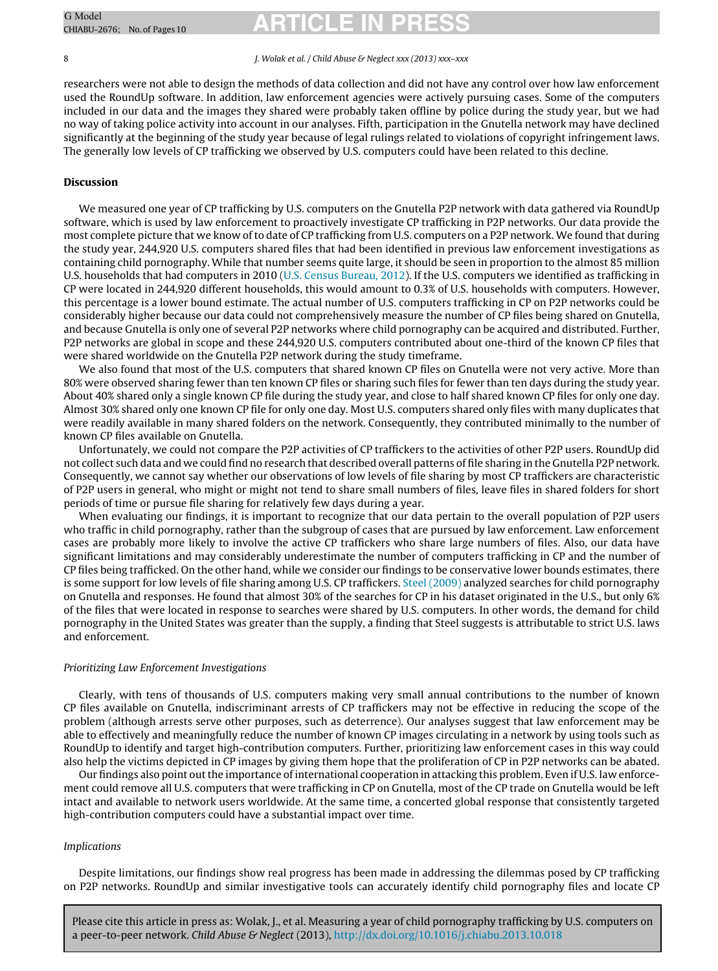### 8 J. Wolak et al. / Child Abuse & Neglect xxx (2013) xxx–xxx

researchers were not able to design the methods of data collection and did not have any control over how law enforcement used the RoundUp software. In addition, law enforcement agencies were actively pursuing cases. Some of the computers included in our data and the images they shared were probably taken offline by police during the study year, but we had no way of taking police activity into account in our analyses. Fifth, participation in the Gnutella network may have declined significantly at the beginning of the study year because of legal rulings related to violations of copyright infringement laws. The generally low levels of CP trafficking we observed by U.S. computers could have been related to this decline.

### **Discussion**

We measured one year of CP trafficking by U.S. computers on the Gnutella P2P network with data gathered via RoundUp software, which is used by law enforcement to proactively investigate CP trafficking in P2P networks. Our data provide the most complete picture that we know of to date of CP trafficking from U.S. computers on a P2P network. We found that during the study year, 244,920 U.S. computers shared files that had been identified in previous law enforcement investigations as containing child pornography. While that number seems quite large, it should be seen in proportion to the almost 85 million U.S. households that had computers in 2010 [\(U.S.](#page-9-0) [Census](#page-9-0) [Bureau,](#page-9-0) [2012\).](#page-9-0) If the U.S. computers we identified as trafficking in CP were located in 244,920 different households, this would amount to 0.3% of U.S. households with computers. However, this percentage is a lower bound estimate. The actual number of U.S. computers trafficking in CP on P2P networks could be considerably higher because our data could not comprehensively measure the number of CP files being shared on Gnutella, and because Gnutella is only one of several P2P networks where child pornography can be acquired and distributed. Further, P2P networks are global in scope and these 244,920 U.S. computers contributed about one-third of the known CP files that were shared worldwide on the Gnutella P2P network during the study timeframe.

We also found that most of the U.S. computers that shared known CP files on Gnutella were not very active. More than 80% were observed sharing fewer than ten known CP files or sharing such files for fewer than ten days during the study year. About 40% shared only a single known CP file during the study year, and close to half shared known CP files for only one day. Almost 30% shared only one known CP file for only one day. Most U.S. computers shared only files with many duplicates that were readily available in many shared folders on the network. Consequently, they contributed minimally to the number of known CP files available on Gnutella.

Unfortunately, we could not compare the P2P activities of CP traffickers to the activities of other P2P users. RoundUp did not collect such data and we could find no research that described overall patterns of file sharing in the Gnutella P2P network. Consequently, we cannot say whether our observations of low levels of file sharing by most CP traffickers are characteristic of P2P users in general, who might or might not tend to share small numbers of files, leave files in shared folders for short periods of time or pursue file sharing for relatively few days during a year.

When evaluating our findings, it is important to recognize that our data pertain to the overall population of P2P users who traffic in child pornography, rather than the subgroup of cases that are pursued by law enforcement. Law enforcement cases are probably more likely to involve the active CP traffickers who share large numbers of files. Also, our data have significant limitations and may considerably underestimate the number of computers trafficking in CP and the number of CP files being trafficked. On the other hand, while we consider our findings to be conservative lower bounds estimates, there is some support for low levels of file sharing among U.S. CP traffickers. [Steel](#page-9-0) [\(2009\)](#page-9-0) analyzed searches for child pornography on Gnutella and responses. He found that almost 30% of the searches for CP in his dataset originated in the U.S., but only 6% of the files that were located in response to searches were shared by U.S. computers. In other words, the demand for child pornography in the United States was greater than the supply, a finding that Steel suggests is attributable to strict U.S. laws and enforcement.

#### Prioritizing Law Enforcement Investigations

Clearly, with tens of thousands of U.S. computers making very small annual contributions to the number of known CP files available on Gnutella, indiscriminant arrests of CP traffickers may not be effective in reducing the scope of the problem (although arrests serve other purposes, such as deterrence). Our analyses suggest that law enforcement may be able to effectively and meaningfully reduce the number of known CP images circulating in a network by using tools such as RoundUp to identify and target high-contribution computers. Further, prioritizing law enforcement cases in this way could also help the victims depicted in CP images by giving them hope that the proliferation of CP in P2P networks can be abated.

Our findings also point outthe importance of international cooperation in attacking this problem. Even if U.S. law enforcement could remove all U.S. computers that were trafficking in CP on Gnutella, most of the CP trade on Gnutella would be left intact and available to network users worldwide. At the same time, a concerted global response that consistently targeted high-contribution computers could have a substantial impact over time.

#### Implications

Despite limitations, our findings show real progress has been made in addressing the dilemmas posed by CP trafficking on P2P networks. RoundUp and similar investigative tools can accurately identify child pornography files and locate CP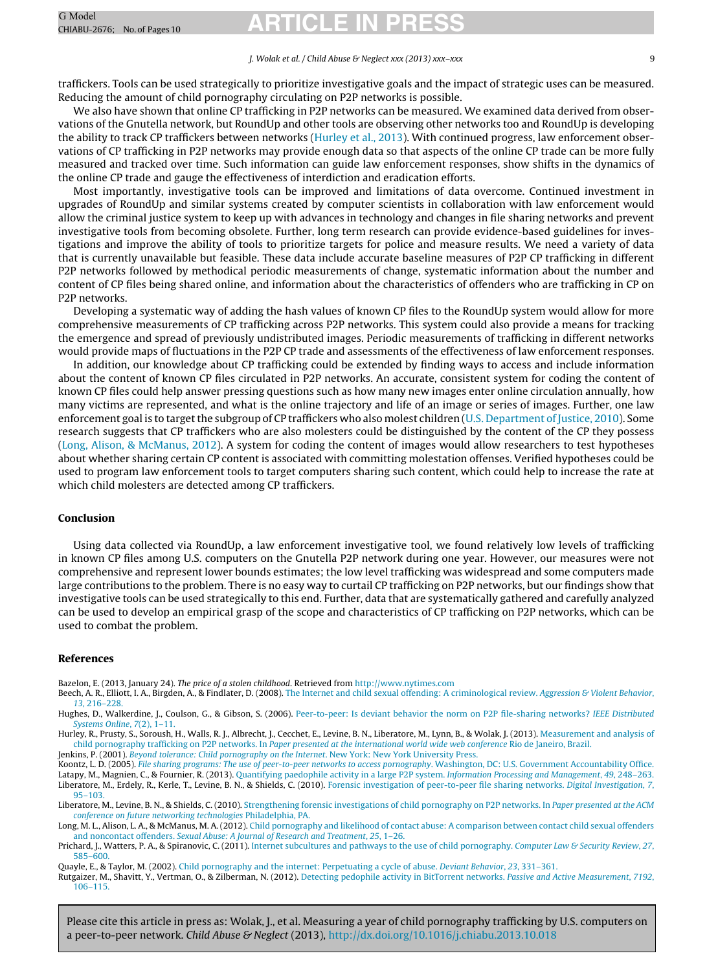#### J. Wolak et al. / Child Abuse & Neglect xxx (2013) xxx–xxx 9

<span id="page-8-0"></span>traffickers. Tools can be used strategically to prioritize investigative goals and the impact of strategic uses can be measured. Reducing the amount of child pornography circulating on P2P networks is possible.

We also have shown that online CP trafficking in P2P networks can be measured. We examined data derived from observations of the Gnutella network, but RoundUp and other tools are observing other networks too and RoundUp is developing the ability to track CP traffickers between networks (Hurley et al., 2013). With continued progress, law enforcement observations of CP trafficking in P2P networks may provide enough data so that aspects of the online CP trade can be more fully measured and tracked over time. Such information can guide law enforcement responses, show shifts in the dynamics of the online CP trade and gauge the effectiveness of interdiction and eradication efforts.

Most importantly, investigative tools can be improved and limitations of data overcome. Continued investment in upgrades of RoundUp and similar systems created by computer scientists in collaboration with law enforcement would allow the criminal justice system to keep up with advances in technology and changes in file sharing networks and prevent investigative tools from becoming obsolete. Further, long term research can provide evidence-based guidelines for investigations and improve the ability of tools to prioritize targets for police and measure results. We need a variety of data that is currently unavailable but feasible. These data include accurate baseline measures of P2P CP trafficking in different P2P networks followed by methodical periodic measurements of change, systematic information about the number and content of CP files being shared online, and information about the characteristics of offenders who are trafficking in CP on P2P networks.

Developing a systematic way of adding the hash values of known CP files to the RoundUp system would allow for more comprehensive measurements of CP trafficking across P2P networks. This system could also provide a means for tracking the emergence and spread of previously undistributed images. Periodic measurements of trafficking in different networks would provide maps of fluctuations in the P2P CP trade and assessments of the effectiveness of law enforcement responses.

In addition, our knowledge about CP trafficking could be extended by finding ways to access and include information about the content of known CP files circulated in P2P networks. An accurate, consistent system for coding the content of known CP files could help answer pressing questions such as how many new images enter online circulation annually, how many victims are represented, and what is the online trajectory and life of an image or series of images. Further, one law enforcement goal is to target the subgroup of CP traffickers who also molest children ([U.S.](#page-9-0) [Department](#page-9-0) [of](#page-9-0) [Justice,](#page-9-0) [2010\).](#page-9-0) Some research suggests that CP traffickers who are also molesters could be distinguished by the content of the CP they possess (Long, Alison, & McManus, 2012). A system for coding the content of images would allow researchers to test hypotheses about whether sharing certain CP content is associated with committing molestation offenses. Verified hypotheses could be used to program law enforcement tools to target computers sharing such content, which could help to increase the rate at which child molesters are detected among CP traffickers.

#### **Conclusion**

Using data collected via RoundUp, a law enforcement investigative tool, we found relatively low levels of trafficking in known CP files among U.S. computers on the Gnutella P2P network during one year. However, our measures were not comprehensive and represent lower bounds estimates; the low level trafficking was widespread and some computers made large contributions to the problem. There is no easy way to curtail CP trafficking on P2P networks, but our findings show that investigative tools can be used strategically to this end. Further, data that are systematically gathered and carefully analyzed can be used to develop an empirical grasp of the scope and characteristics of CP trafficking on P2P networks, which can be used to combat the problem.

#### **References**

Bazelon, E. (2013, January 24). The price of a stolen childhood. Retrieved from [http://www.nytimes.com](http://www.nytimes.com/)

Beech, A. R., Elliott, I. A., Birgden, A., & Findlater, D. (2008). [The](http://refhub.elsevier.com/S0145-2134(13)00323-2/sbref0010) [Internet](http://refhub.elsevier.com/S0145-2134(13)00323-2/sbref0010) [and](http://refhub.elsevier.com/S0145-2134(13)00323-2/sbref0010) [child](http://refhub.elsevier.com/S0145-2134(13)00323-2/sbref0010) [sexual](http://refhub.elsevier.com/S0145-2134(13)00323-2/sbref0010) [offending:](http://refhub.elsevier.com/S0145-2134(13)00323-2/sbref0010) [A](http://refhub.elsevier.com/S0145-2134(13)00323-2/sbref0010) [criminological](http://refhub.elsevier.com/S0145-2134(13)00323-2/sbref0010) [review.](http://refhub.elsevier.com/S0145-2134(13)00323-2/sbref0010) [Aggression](http://refhub.elsevier.com/S0145-2134(13)00323-2/sbref0010) [&](http://refhub.elsevier.com/S0145-2134(13)00323-2/sbref0010) [Violent](http://refhub.elsevier.com/S0145-2134(13)00323-2/sbref0010) [Behavior](http://refhub.elsevier.com/S0145-2134(13)00323-2/sbref0010)[,](http://refhub.elsevier.com/S0145-2134(13)00323-2/sbref0010) [13](http://refhub.elsevier.com/S0145-2134(13)00323-2/sbref0010), [216–228.](http://refhub.elsevier.com/S0145-2134(13)00323-2/sbref0010)

Hurley, R., Prusty, S., Soroush, H., Walls, R. J., Albrecht, J., Cecchet, E., Levine, B. N., Liberatore, M., Lynn, B., & Wolak, J. (2013). [Measurement](http://refhub.elsevier.com/S0145-2134(13)00323-2/sbref0020) [and](http://refhub.elsevier.com/S0145-2134(13)00323-2/sbref0020) [analysis](http://refhub.elsevier.com/S0145-2134(13)00323-2/sbref0020) [of](http://refhub.elsevier.com/S0145-2134(13)00323-2/sbref0020) [child](http://refhub.elsevier.com/S0145-2134(13)00323-2/sbref0020) [pornography](http://refhub.elsevier.com/S0145-2134(13)00323-2/sbref0020) [trafficking](http://refhub.elsevier.com/S0145-2134(13)00323-2/sbref0020) [on](http://refhub.elsevier.com/S0145-2134(13)00323-2/sbref0020) [P2P](http://refhub.elsevier.com/S0145-2134(13)00323-2/sbref0020) [networks.](http://refhub.elsevier.com/S0145-2134(13)00323-2/sbref0020) [In](http://refhub.elsevier.com/S0145-2134(13)00323-2/sbref0020) [Paper](http://refhub.elsevier.com/S0145-2134(13)00323-2/sbref0020) [presented](http://refhub.elsevier.com/S0145-2134(13)00323-2/sbref0020) [at](http://refhub.elsevier.com/S0145-2134(13)00323-2/sbref0020) [the](http://refhub.elsevier.com/S0145-2134(13)00323-2/sbref0020) [international](http://refhub.elsevier.com/S0145-2134(13)00323-2/sbref0020) [world](http://refhub.elsevier.com/S0145-2134(13)00323-2/sbref0020) [wide](http://refhub.elsevier.com/S0145-2134(13)00323-2/sbref0020) [web](http://refhub.elsevier.com/S0145-2134(13)00323-2/sbref0020) [conference](http://refhub.elsevier.com/S0145-2134(13)00323-2/sbref0020) [Rio](http://refhub.elsevier.com/S0145-2134(13)00323-2/sbref0020) [de](http://refhub.elsevier.com/S0145-2134(13)00323-2/sbref0020) [Janeiro,](http://refhub.elsevier.com/S0145-2134(13)00323-2/sbref0020) [Brazil.](http://refhub.elsevier.com/S0145-2134(13)00323-2/sbref0020)

Jenkins, P. (2001). [Beyond](http://refhub.elsevier.com/S0145-2134(13)00323-2/sbref0025) [tolerance:](http://refhub.elsevier.com/S0145-2134(13)00323-2/sbref0025) [Child](http://refhub.elsevier.com/S0145-2134(13)00323-2/sbref0025) [pornography](http://refhub.elsevier.com/S0145-2134(13)00323-2/sbref0025) [on](http://refhub.elsevier.com/S0145-2134(13)00323-2/sbref0025) [the](http://refhub.elsevier.com/S0145-2134(13)00323-2/sbref0025) [Internet](http://refhub.elsevier.com/S0145-2134(13)00323-2/sbref0025)[.](http://refhub.elsevier.com/S0145-2134(13)00323-2/sbref0025) [New](http://refhub.elsevier.com/S0145-2134(13)00323-2/sbref0025) [York:](http://refhub.elsevier.com/S0145-2134(13)00323-2/sbref0025) [New](http://refhub.elsevier.com/S0145-2134(13)00323-2/sbref0025) [York](http://refhub.elsevier.com/S0145-2134(13)00323-2/sbref0025) [University](http://refhub.elsevier.com/S0145-2134(13)00323-2/sbref0025) [Press.](http://refhub.elsevier.com/S0145-2134(13)00323-2/sbref0025)

Koontz, L. D. (2005). [File](http://refhub.elsevier.com/S0145-2134(13)00323-2/sbref0030) [sharing](http://refhub.elsevier.com/S0145-2134(13)00323-2/sbref0030) [programs:](http://refhub.elsevier.com/S0145-2134(13)00323-2/sbref0030) [The](http://refhub.elsevier.com/S0145-2134(13)00323-2/sbref0030) [use](http://refhub.elsevier.com/S0145-2134(13)00323-2/sbref0030) [of](http://refhub.elsevier.com/S0145-2134(13)00323-2/sbref0030) [peer-to-peer](http://refhub.elsevier.com/S0145-2134(13)00323-2/sbref0030) [networks](http://refhub.elsevier.com/S0145-2134(13)00323-2/sbref0030) [to](http://refhub.elsevier.com/S0145-2134(13)00323-2/sbref0030) [access](http://refhub.elsevier.com/S0145-2134(13)00323-2/sbref0030) [pornography](http://refhub.elsevier.com/S0145-2134(13)00323-2/sbref0030)[.](http://refhub.elsevier.com/S0145-2134(13)00323-2/sbref0030) [Washington,](http://refhub.elsevier.com/S0145-2134(13)00323-2/sbref0030) [DC:](http://refhub.elsevier.com/S0145-2134(13)00323-2/sbref0030) [U.S.](http://refhub.elsevier.com/S0145-2134(13)00323-2/sbref0030) [Government](http://refhub.elsevier.com/S0145-2134(13)00323-2/sbref0030) [Accountability](http://refhub.elsevier.com/S0145-2134(13)00323-2/sbref0030) [Office.](http://refhub.elsevier.com/S0145-2134(13)00323-2/sbref0030) Latapy, M., Magnien, C., & Fournier, R. (2013). [Quantifying](http://refhub.elsevier.com/S0145-2134(13)00323-2/sbref0035) [paedophile](http://refhub.elsevier.com/S0145-2134(13)00323-2/sbref0035) [activity](http://refhub.elsevier.com/S0145-2134(13)00323-2/sbref0035) [in](http://refhub.elsevier.com/S0145-2134(13)00323-2/sbref0035) [a](http://refhub.elsevier.com/S0145-2134(13)00323-2/sbref0035) [large](http://refhub.elsevier.com/S0145-2134(13)00323-2/sbref0035) [P2P](http://refhub.elsevier.com/S0145-2134(13)00323-2/sbref0035) [system.](http://refhub.elsevier.com/S0145-2134(13)00323-2/sbref0035) [Information](http://refhub.elsevier.com/S0145-2134(13)00323-2/sbref0035) [Processing](http://refhub.elsevier.com/S0145-2134(13)00323-2/sbref0035) [and](http://refhub.elsevier.com/S0145-2134(13)00323-2/sbref0035) [Management](http://refhub.elsevier.com/S0145-2134(13)00323-2/sbref0035)[,](http://refhub.elsevier.com/S0145-2134(13)00323-2/sbref0035) [49](http://refhub.elsevier.com/S0145-2134(13)00323-2/sbref0035), 248-263. Liberatore, M., Erdely, R., Kerle, T., Levine, B. N., & Shields, C. (2010). [Forensic](http://refhub.elsevier.com/S0145-2134(13)00323-2/sbref0040) [investigation](http://refhub.elsevier.com/S0145-2134(13)00323-2/sbref0040) [of](http://refhub.elsevier.com/S0145-2134(13)00323-2/sbref0040) [peer-to-peer](http://refhub.elsevier.com/S0145-2134(13)00323-2/sbref0040) [file](http://refhub.elsevier.com/S0145-2134(13)00323-2/sbref0040) [sharing](http://refhub.elsevier.com/S0145-2134(13)00323-2/sbref0040) [networks.](http://refhub.elsevier.com/S0145-2134(13)00323-2/sbref0040) [Digital](http://refhub.elsevier.com/S0145-2134(13)00323-2/sbref0040) [Investigation](http://refhub.elsevier.com/S0145-2134(13)00323-2/sbref0040)[,](http://refhub.elsevier.com/S0145-2134(13)00323-2/sbref0040) [7](http://refhub.elsevier.com/S0145-2134(13)00323-2/sbref0040)[,](http://refhub.elsevier.com/S0145-2134(13)00323-2/sbref0040)

[95–103.](http://refhub.elsevier.com/S0145-2134(13)00323-2/sbref0040) Liberatore, M., Levine, B. N., & Shields, C. (2010). [Strengthening](http://refhub.elsevier.com/S0145-2134(13)00323-2/sbref0045) [forensic](http://refhub.elsevier.com/S0145-2134(13)00323-2/sbref0045) [investigations](http://refhub.elsevier.com/S0145-2134(13)00323-2/sbref0045) [of](http://refhub.elsevier.com/S0145-2134(13)00323-2/sbref0045) [child](http://refhub.elsevier.com/S0145-2134(13)00323-2/sbref0045) [pornography](http://refhub.elsevier.com/S0145-2134(13)00323-2/sbref0045) [on](http://refhub.elsevier.com/S0145-2134(13)00323-2/sbref0045) [P2P](http://refhub.elsevier.com/S0145-2134(13)00323-2/sbref0045) [networks.](http://refhub.elsevier.com/S0145-2134(13)00323-2/sbref0045) [In](http://refhub.elsevier.com/S0145-2134(13)00323-2/sbref0045) [Paper](http://refhub.elsevier.com/S0145-2134(13)00323-2/sbref0045) [presented](http://refhub.elsevier.com/S0145-2134(13)00323-2/sbref0045) [at](http://refhub.elsevier.com/S0145-2134(13)00323-2/sbref0045) [the](http://refhub.elsevier.com/S0145-2134(13)00323-2/sbref0045) [ACM](http://refhub.elsevier.com/S0145-2134(13)00323-2/sbref0045) [conference](http://refhub.elsevier.com/S0145-2134(13)00323-2/sbref0045) [on](http://refhub.elsevier.com/S0145-2134(13)00323-2/sbref0045) [future](http://refhub.elsevier.com/S0145-2134(13)00323-2/sbref0045) [networking](http://refhub.elsevier.com/S0145-2134(13)00323-2/sbref0045) [technologies](http://refhub.elsevier.com/S0145-2134(13)00323-2/sbref0045) [Philadelphia,](http://refhub.elsevier.com/S0145-2134(13)00323-2/sbref0045) [PA.](http://refhub.elsevier.com/S0145-2134(13)00323-2/sbref0045)

Long, M. L., Alison, L. A., & McManus, M. A. (2012). [Child](http://refhub.elsevier.com/S0145-2134(13)00323-2/sbref0050) [pornography](http://refhub.elsevier.com/S0145-2134(13)00323-2/sbref0050) [and](http://refhub.elsevier.com/S0145-2134(13)00323-2/sbref0050) [likelihood](http://refhub.elsevier.com/S0145-2134(13)00323-2/sbref0050) [of](http://refhub.elsevier.com/S0145-2134(13)00323-2/sbref0050) [contact](http://refhub.elsevier.com/S0145-2134(13)00323-2/sbref0050) [abuse:](http://refhub.elsevier.com/S0145-2134(13)00323-2/sbref0050) [A](http://refhub.elsevier.com/S0145-2134(13)00323-2/sbref0050) [comparison](http://refhub.elsevier.com/S0145-2134(13)00323-2/sbref0050) [between](http://refhub.elsevier.com/S0145-2134(13)00323-2/sbref0050) [contact](http://refhub.elsevier.com/S0145-2134(13)00323-2/sbref0050) [child](http://refhub.elsevier.com/S0145-2134(13)00323-2/sbref0050) [sexual](http://refhub.elsevier.com/S0145-2134(13)00323-2/sbref0050) [offenders](http://refhub.elsevier.com/S0145-2134(13)00323-2/sbref0050) [and](http://refhub.elsevier.com/S0145-2134(13)00323-2/sbref0050) [noncontact](http://refhub.elsevier.com/S0145-2134(13)00323-2/sbref0050) [offenders.](http://refhub.elsevier.com/S0145-2134(13)00323-2/sbref0050) [Sexual](http://refhub.elsevier.com/S0145-2134(13)00323-2/sbref0050) [Abuse:](http://refhub.elsevier.com/S0145-2134(13)00323-2/sbref0050) [A](http://refhub.elsevier.com/S0145-2134(13)00323-2/sbref0050) [Journal](http://refhub.elsevier.com/S0145-2134(13)00323-2/sbref0050) [of](http://refhub.elsevier.com/S0145-2134(13)00323-2/sbref0050) [Research](http://refhub.elsevier.com/S0145-2134(13)00323-2/sbref0050) [and](http://refhub.elsevier.com/S0145-2134(13)00323-2/sbref0050) [Treatment](http://refhub.elsevier.com/S0145-2134(13)00323-2/sbref0050)[,](http://refhub.elsevier.com/S0145-2134(13)00323-2/sbref0050) [25](http://refhub.elsevier.com/S0145-2134(13)00323-2/sbref0050), [1–26.](http://refhub.elsevier.com/S0145-2134(13)00323-2/sbref0050)

Prichard, J., Watters, P. A., & Spiranovic, C. (2011). [Internet](http://refhub.elsevier.com/S0145-2134(13)00323-2/sbref0055) [subcultures](http://refhub.elsevier.com/S0145-2134(13)00323-2/sbref0055) [and](http://refhub.elsevier.com/S0145-2134(13)00323-2/sbref0055) [pathways](http://refhub.elsevier.com/S0145-2134(13)00323-2/sbref0055) [to](http://refhub.elsevier.com/S0145-2134(13)00323-2/sbref0055) [the](http://refhub.elsevier.com/S0145-2134(13)00323-2/sbref0055) [use](http://refhub.elsevier.com/S0145-2134(13)00323-2/sbref0055) [of](http://refhub.elsevier.com/S0145-2134(13)00323-2/sbref0055) [child](http://refhub.elsevier.com/S0145-2134(13)00323-2/sbref0055) [pornography.](http://refhub.elsevier.com/S0145-2134(13)00323-2/sbref0055) [Computer](http://refhub.elsevier.com/S0145-2134(13)00323-2/sbref0055) [Law](http://refhub.elsevier.com/S0145-2134(13)00323-2/sbref0055) [&](http://refhub.elsevier.com/S0145-2134(13)00323-2/sbref0055) [Security](http://refhub.elsevier.com/S0145-2134(13)00323-2/sbref0055) [Review](http://refhub.elsevier.com/S0145-2134(13)00323-2/sbref0055), [27](http://refhub.elsevier.com/S0145-2134(13)00323-2/sbref0055)[,](http://refhub.elsevier.com/S0145-2134(13)00323-2/sbref0055) [585–600.](http://refhub.elsevier.com/S0145-2134(13)00323-2/sbref0055)

Quayle, E., & Taylor, M. (2002). [Child](http://refhub.elsevier.com/S0145-2134(13)00323-2/sbref0060) [pornography](http://refhub.elsevier.com/S0145-2134(13)00323-2/sbref0060) [and](http://refhub.elsevier.com/S0145-2134(13)00323-2/sbref0060) [the](http://refhub.elsevier.com/S0145-2134(13)00323-2/sbref0060) [internet:](http://refhub.elsevier.com/S0145-2134(13)00323-2/sbref0060) [Perpetuating](http://refhub.elsevier.com/S0145-2134(13)00323-2/sbref0060) [a](http://refhub.elsevier.com/S0145-2134(13)00323-2/sbref0060) [cycle](http://refhub.elsevier.com/S0145-2134(13)00323-2/sbref0060) [of](http://refhub.elsevier.com/S0145-2134(13)00323-2/sbref0060) [abuse.](http://refhub.elsevier.com/S0145-2134(13)00323-2/sbref0060) [Deviant](http://refhub.elsevier.com/S0145-2134(13)00323-2/sbref0060) [Behavior](http://refhub.elsevier.com/S0145-2134(13)00323-2/sbref0060)[,](http://refhub.elsevier.com/S0145-2134(13)00323-2/sbref0060) [23](http://refhub.elsevier.com/S0145-2134(13)00323-2/sbref0060), [331–361.](http://refhub.elsevier.com/S0145-2134(13)00323-2/sbref0060)

Rutgaizer, M., Shavitt, Y., Vertman, O., & Zilberman, N. (2012). [Detecting](http://refhub.elsevier.com/S0145-2134(13)00323-2/sbref0065) [pedophile](http://refhub.elsevier.com/S0145-2134(13)00323-2/sbref0065) [activity](http://refhub.elsevier.com/S0145-2134(13)00323-2/sbref0065) [in](http://refhub.elsevier.com/S0145-2134(13)00323-2/sbref0065) [BitTorrent](http://refhub.elsevier.com/S0145-2134(13)00323-2/sbref0065) [networks.](http://refhub.elsevier.com/S0145-2134(13)00323-2/sbref0065) [Passive](http://refhub.elsevier.com/S0145-2134(13)00323-2/sbref0065) [and](http://refhub.elsevier.com/S0145-2134(13)00323-2/sbref0065) [Active](http://refhub.elsevier.com/S0145-2134(13)00323-2/sbref0065) [Measurement](http://refhub.elsevier.com/S0145-2134(13)00323-2/sbref0065)[,](http://refhub.elsevier.com/S0145-2134(13)00323-2/sbref0065) [7192](http://refhub.elsevier.com/S0145-2134(13)00323-2/sbref0065)[,](http://refhub.elsevier.com/S0145-2134(13)00323-2/sbref0065) [106–115.](http://refhub.elsevier.com/S0145-2134(13)00323-2/sbref0065)

Hughes, D., Walkerdine, J., Coulson, G., & Gibson, S. (2006). [Peer-to-peer:](http://refhub.elsevier.com/S0145-2134(13)00323-2/sbref0015) [Is](http://refhub.elsevier.com/S0145-2134(13)00323-2/sbref0015) [deviant](http://refhub.elsevier.com/S0145-2134(13)00323-2/sbref0015) [behavior](http://refhub.elsevier.com/S0145-2134(13)00323-2/sbref0015) [the](http://refhub.elsevier.com/S0145-2134(13)00323-2/sbref0015) [norm](http://refhub.elsevier.com/S0145-2134(13)00323-2/sbref0015) [on](http://refhub.elsevier.com/S0145-2134(13)00323-2/sbref0015) [P2P](http://refhub.elsevier.com/S0145-2134(13)00323-2/sbref0015) [file-sharing](http://refhub.elsevier.com/S0145-2134(13)00323-2/sbref0015) [networks?](http://refhub.elsevier.com/S0145-2134(13)00323-2/sbref0015) [IEEE](http://refhub.elsevier.com/S0145-2134(13)00323-2/sbref0015) [Distributed](http://refhub.elsevier.com/S0145-2134(13)00323-2/sbref0015) [Systems](http://refhub.elsevier.com/S0145-2134(13)00323-2/sbref0015) [Online](http://refhub.elsevier.com/S0145-2134(13)00323-2/sbref0015)[,](http://refhub.elsevier.com/S0145-2134(13)00323-2/sbref0015) [7](http://refhub.elsevier.com/S0145-2134(13)00323-2/sbref0015)[\(2\),](http://refhub.elsevier.com/S0145-2134(13)00323-2/sbref0015) [1](http://refhub.elsevier.com/S0145-2134(13)00323-2/sbref0015)–[11.](http://refhub.elsevier.com/S0145-2134(13)00323-2/sbref0015)